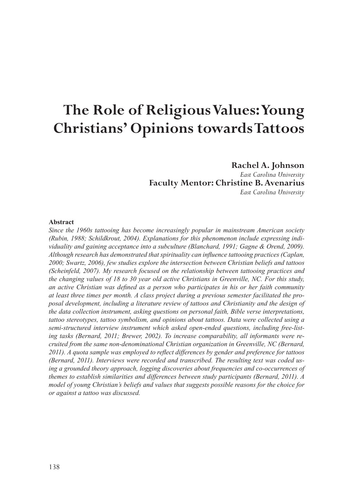# **The Role of Religious Values: Young Christians' Opinions towards Tattoos**

# **Rachel A. Johnson**

*East Carolina University* **Faculty Mentor: Christine B. Avenarius** *East Carolina University*

#### **Abstract**

*Since the 1960s tattooing has become increasingly popular in mainstream American society (Rubin, 1988; Schildkrout, 2004). Explanations for this phenomenon include expressing individuality and gaining acceptance into a subculture (Blanchard, 1991; Gagne & Orend, 2009). Although research has demonstrated that spirituality can influence tattooing practices (Caplan, 2000; Swartz, 2006), few studies explore the intersection between Christian beliefs and tattoos (Scheinfeld, 2007). My research focused on the relationship between tattooing practices and the changing values of 18 to 30 year old active Christians in Greenville, NC. For this study, an active Christian was defined as a person who participates in his or her faith community at least three times per month. A class project during a previous semester facilitated the proposal development, including a literature review of tattoos and Christianity and the design of the data collection instrument, asking questions on personal faith, Bible verse interpretations, tattoo stereotypes, tattoo symbolism, and opinions about tattoos. Data were collected using a semi-structured interview instrument which asked open-ended questions, including free-listing tasks (Bernard, 2011; Brewer, 2002). To increase comparability, all informants were recruited from the same non-denominational Christian organization in Greenville, NC (Bernard, 2011). A quota sample was employed to reflect differences by gender and preference for tattoos (Bernard, 2011). Interviews were recorded and transcribed. The resulting text was coded using a grounded theory approach, logging discoveries about frequencies and co-occurrences of themes to establish similarities and differences between study participants (Bernard, 2011). A model of young Christian's beliefs and values that suggests possible reasons for the choice for or against a tattoo was discussed.*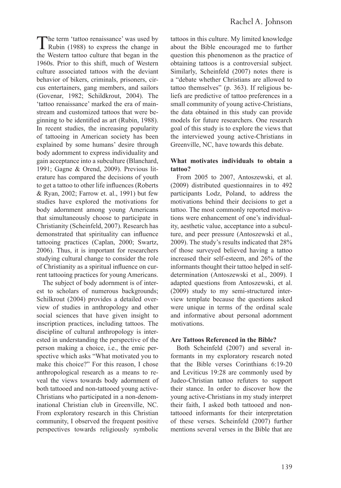The term 'tattoo renaissance' was used by<br>Rubin (1988) to express the change in the Western tattoo culture that began in the 1960s. Prior to this shift, much of Western culture associated tattoos with the deviant behavior of bikers, criminals, prisoners, circus entertainers, gang members, and sailors (Govenar, 1982; Schildkrout, 2004). The 'tattoo renaissance' marked the era of mainstream and customized tattoos that were beginning to be identified as art (Rubin, 1988). In recent studies, the increasing popularity of tattooing in American society has been explained by some humans' desire through body adornment to express individuality and gain acceptance into a subculture (Blanchard, 1991; Gagne & Orend, 2009). Previous literature has compared the decisions of youth to get a tattoo to other life influences (Roberts & Ryan, 2002; Farrow et. al., 1991) but few studies have explored the motivations for body adornment among young Americans that simultaneously choose to participate in Christianity (Scheinfeld, 2007). Research has demonstrated that spirituality can influence tattooing practices (Caplan, 2000; Swartz, 2006). Thus, it is important for researchers studying cultural change to consider the role of Christianity as a spiritual influence on current tattooing practices for young Americans.

The subject of body adornment is of interest to scholars of numerous backgrounds; Schilkrout (2004) provides a detailed overview of studies in anthropology and other social sciences that have given insight to inscription practices, including tattoos. The discipline of cultural anthropology is interested in understanding the perspective of the person making a choice, i.e., the emic perspective which asks "What motivated you to make this choice?" For this reason, I chose anthropological research as a means to reveal the views towards body adornment of both tattooed and non-tattooed young active-Christians who participated in a non-denominational Christian club in Greenville, NC. From exploratory research in this Christian community, I observed the frequent positive perspectives towards religiously symbolic tattoos in this culture. My limited knowledge about the Bible encouraged me to further question this phenomenon as the practice of obtaining tattoos is a controversial subject. Similarly, Scheinfeld (2007) notes there is a "debate whether Christians are allowed to tattoo themselves" (p. 363). If religious beliefs are predictive of tattoo preferences in a small community of young active-Christians, the data obtained in this study can provide models for future researchers. One research goal of this study is to explore the views that the interviewed young active-Christians in Greenville, NC, have towards this debate.

#### **What motivates individuals to obtain a tattoo?**

From 2005 to 2007, Antoszewski, et al. (2009) distributed questionnaires in to 492 participants Lodz, Poland, to address the motivations behind their decisions to get a tattoo. The most commonly reported motivations were enhancement of one's individuality, aesthetic value, acceptance into a subculture, and peer pressure (Antoszewski et al., 2009). The study's results indicated that 28% of those surveyed believed having a tattoo increased their self-esteem, and 26% of the informants thought their tattoo helped in selfdetermination (Antoszewski et al., 2009). I adapted questions from Antoszewski, et al. (2009) study to my semi-structured interview template because the questions asked were unique in terms of the ordinal scale and informative about personal adornment motivations.

## **Are Tattoos Referenced in the Bible?**

Both Scheinfeld (2007) and several informants in my exploratory research noted that the Bible verses Corinthians 6:19-20 and Leviticus 19:28 are commonly used by Judeo-Christian tattoo refuters to support their stance. In order to discover how the young active-Christians in my study interpret their faith, I asked both tattooed and nontattooed informants for their interpretation of these verses. Scheinfeld (2007) further mentions several verses in the Bible that are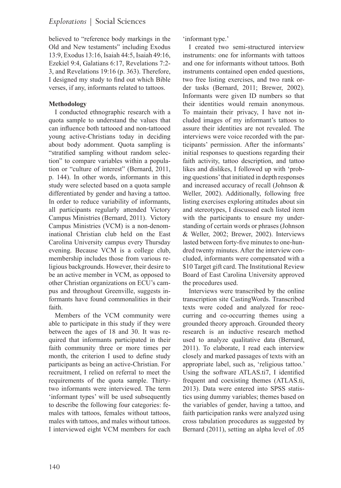believed to "reference body markings in the Old and New testaments" including Exodus 13:9, Exodus 13:16, Isaiah 44:5, Isaiah 49:16, Ezekiel 9:4, Galatians 6:17, Revelations 7:2- 3, and Revelations 19:16 (p. 363). Therefore, I designed my study to find out which Bible verses, if any, informants related to tattoos.

## **Methodology**

I conducted ethnographic research with a quota sample to understand the values that can influence both tattooed and non-tattooed young active-Christians today in deciding about body adornment. Quota sampling is "stratified sampling without random selection" to compare variables within a population or "culture of interest" (Bernard, 2011, p. 144). In other words, informants in this study were selected based on a quota sample differentiated by gender and having a tattoo. In order to reduce variability of informants, all participants regularly attended Victory Campus Ministries (Bernard, 2011). Victory Campus Ministries (VCM) is a non-denominational Christian club held on the East Carolina University campus every Thursday evening. Because VCM is a college club, membership includes those from various religious backgrounds. However, their desire to be an active member in VCM, as opposed to other Christian organizations on ECU's campus and throughout Greenville, suggests informants have found commonalities in their faith.

Members of the VCM community were able to participate in this study if they were between the ages of 18 and 30. It was required that informants participated in their faith community three or more times per month, the criterion I used to define study participants as being an active-Christian. For recruitment, I relied on referral to meet the requirements of the quota sample. Thirtytwo informants were interviewed. The term 'informant types' will be used subsequently to describe the following four categories: females with tattoos, females without tattoos, males with tattoos, and males without tattoos. I interviewed eight VCM members for each 'informant type.'

I created two semi-structured interview instruments: one for informants with tattoos and one for informants without tattoos. Both instruments contained open ended questions, two free listing exercises, and two rank order tasks (Bernard, 2011; Brewer, 2002). Informants were given ID numbers so that their identities would remain anonymous. To maintain their privacy, I have not included images of my informant's tattoos to assure their identities are not revealed. The interviews were voice recorded with the participants' permission. After the informants' initial responses to questions regarding their faith activity, tattoo description, and tattoo likes and dislikes, I followed up with 'probing questions' that initiated in depth responses and increased accuracy of recall (Johnson & Weller, 2002). Additionally, following free listing exercises exploring attitudes about sin and stereotypes, I discussed each listed item with the participants to ensure my understanding of certain words or phrases (Johnson & Weller, 2002; Brewer, 2002). Interviews lasted between forty-five minutes to one-hundred twenty minutes. After the interview concluded, informants were compensated with a \$10 Target gift card. The Institutional Review Board of East Carolina University approved the procedures used.

Interviews were transcribed by the online transcription site CastingWords. Transcribed texts were coded and analyzed for reoccurring and co-occurring themes using a grounded theory approach. Grounded theory research is an inductive research method used to analyze qualitative data (Bernard, 2011). To elaborate, I read each interview closely and marked passages of texts with an appropriate label, such as, 'religious tattoo.' Using the software ATLAS.ti7, I identified frequent and coexisting themes (ATLAS.ti, 2013). Data were entered into SPSS statistics using dummy variables; themes based on the variables of gender, having a tattoo, and faith participation ranks were analyzed using cross tabulation procedures as suggested by Bernard (2011), setting an alpha level of .05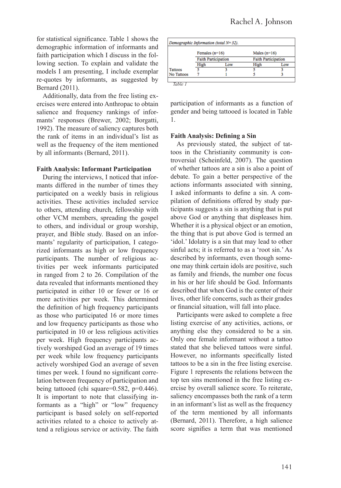for statistical significance. Table 1 shows the demographic information of informants and faith participation which I discuss in the following section. To explain and validate the models I am presenting, I include exemplar re-quotes by informants, as suggested by Bernard (2011).

Additionally, data from the free listing exercises were entered into Anthropac to obtain salience and frequency rankings of informants' responses (Brewer, 2002; Borgatti, 1992). The measure of saliency captures both the rank of items in an individual's list as well as the frequency of the item mentioned by all informants (Bernard, 2011).

#### **Faith Analysis: Informant Participation**

During the interviews, I noticed that informants differed in the number of times they participated on a weekly basis in religious activities. These activities included service to others, attending church, fellowship with other VCM members, spreading the gospel to others, and individual or group worship, prayer, and Bible study. Based on an informants' regularity of participation, I categorized informants as high or low frequency participants. The number of religious activities per week informants participated in ranged from 2 to 26. Compilation of the data revealed that informants mentioned they participated in either 10 or fewer or 16 or more activities per week. This determined the definition of high frequency participants as those who participated 16 or more times and low frequency participants as those who participated in 10 or less religious activities per week. High frequency participants actively worshiped God an average of 19 times per week while low frequency participants actively worshiped God an average of seven times per week. I found no significant correlation between frequency of participation and being tattooed (chi square=0.582, p=0.446). It is important to note that classifying informants as a "high" or "low" frequency participant is based solely on self-reported activities related to a choice to actively attend a religious service or activity. The faith

|            | Females $(n=16)$<br><b>Faith Participation</b> |     | Males $(n=16)$<br><b>Faith Participation</b> |     |
|------------|------------------------------------------------|-----|----------------------------------------------|-----|
|            |                                                |     |                                              |     |
|            | High                                           | Low | High                                         | Low |
| Tattoos    |                                                |     |                                              |     |
| No Tattoos |                                                |     |                                              |     |

participation of informants as a function of gender and being tattooed is located in Table 1.

#### **Faith Analysis: Defining a Sin**

As previously stated, the subject of tattoos in the Christianity community is controversial (Scheinfeld, 2007). The question of whether tattoos are a sin is also a point of debate. To gain a better perspective of the actions informants associated with sinning, I asked informants to define a sin. A compilation of definitions offered by study participants suggests a sin is anything that is put above God or anything that displeases him. Whether it is a physical object or an emotion, the thing that is put above God is termed an 'idol.' Idolatry is a sin that may lead to other sinful acts; it is referred to as a 'root sin.' As described by informants, even though someone may think certain idols are positive, such as family and friends, the number one focus in his or her life should be God. Informants described that when God is the center of their lives, other life concerns, such as their grades or financial situation, will fall into place.

Participants were asked to complete a free listing exercise of any activities, actions, or anything else they considered to be a sin. Only one female informant without a tattoo stated that she believed tattoos were sinful. However, no informants specifically listed tattoos to be a sin in the free listing exercise. Figure 1 represents the relations between the top ten sins mentioned in the free listing exercise by overall salience score. To reiterate, saliency encompasses both the rank of a term in an informant's list as well as the frequency of the term mentioned by all informants (Bernard, 2011). Therefore, a high salience score signifies a term that was mentioned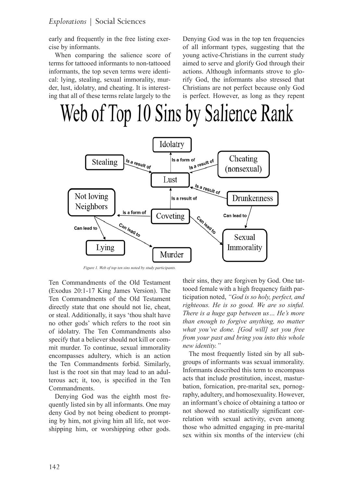early and frequently in the free listing exercise by informants.

When comparing the salience score of terms for tattooed informants to non-tattooed informants, the top seven terms were identical: lying, stealing, sexual immorality, murder, lust, idolatry, and cheating. It is interesting that all of these terms relate largely to the

Denying God was in the top ten frequencies of all informant types, suggesting that the young active-Christians in the current study aimed to serve and glorify God through their actions. Although informants strove to glorify God, the informants also stressed that Christians are not perfect because only God is perfect. However, as long as they repent

# Web of Top 10 Sins by Salience Rank



*Figure 1. Web of top ten sins noted by study participants.*

Ten Commandments of the Old Testament (Exodus 20:1-17 King James Version). The Ten Commandments of the Old Testament directly state that one should not lie, cheat, or steal. Additionally, it says 'thou shalt have no other gods' which refers to the root sin of idolatry. The Ten Commandments also specify that a believer should not kill or commit murder. To continue, sexual immorality encompasses adultery, which is an action the Ten Commandments forbid. Similarly, lust is the root sin that may lead to an adulterous act; it, too, is specified in the Ten Commandments.

Denying God was the eighth most frequently listed sin by all informants. One may deny God by not being obedient to prompting by him, not giving him all life, not worshipping him, or worshipping other gods.

their sins, they are forgiven by God. One tattooed female with a high frequency faith participation noted, *"God is so holy, perfect, and righteous. He is so good. We are so sinful. There is a huge gap between us… He's more than enough to forgive anything, no matter what you've done. [God will] set you free from your past and bring you into this whole new identity."* 

The most frequently listed sin by all subgroups of informants was sexual immorality. Informants described this term to encompass acts that include prostitution, incest, masturbation, fornication, pre-marital sex, pornography, adultery, and homosexuality. However, an informant's choice of obtaining a tattoo or not showed no statistically significant correlation with sexual activity, even among those who admitted engaging in pre-marital sex within six months of the interview (chi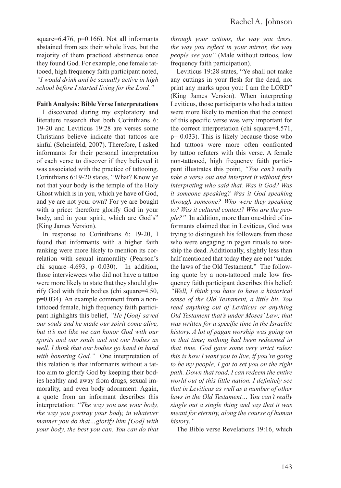square=6.476,  $p=0.166$ ). Not all informants abstained from sex their whole lives, but the majority of them practiced abstinence once they found God. For example, one female tattooed, high frequency faith participant noted, *"I would drink and be sexually active in high school before I started living for the Lord."* 

#### **Faith Analysis: Bible Verse Interpretations**

I discovered during my exploratory and literature research that both Corinthians 6: 19-20 and Leviticus 19:28 are verses some Christians believe indicate that tattoos are sinful (Scheinfeld, 2007). Therefore, I asked informants for their personal interpretation of each verse to discover if they believed it was associated with the practice of tattooing. Corinthians 6:19-20 states, "What? Know ye not that your body is the temple of the Holy Ghost which is in you, which ye have of God, and ye are not your own? For ye are bought with a price: therefore glorify God in your body, and in your spirit, which are God's" (King James Version).

In response to Corinthians 6: 19-20, I found that informants with a higher faith ranking were more likely to mention its correlation with sexual immorality (Pearson's chi square= $4.693$ , p= $0.030$ ). In addition, those interviewees who did not have a tattoo were more likely to state that they should glorify God with their bodies (chi square=4.50, p=0.034). An example comment from a nontattooed female, high frequency faith participant highlights this belief, *"He [God] saved our souls and he made our spirit come alive, but it's not like we can honor God with our spirits and our souls and not our bodies as well. I think that our bodies go hand in hand with honoring God."* One interpretation of this relation is that informants without a tattoo aim to glorify God by keeping their bodies healthy and away from drugs, sexual immorality, and even body adornment. Again, a quote from an informant describes this interpretation: *"The way you use your body, the way you portray your body, in whatever manner you do that…glorify him [God] with your body, the best you can. You can do that* 

*through your actions, the way you dress, the way you reflect in your mirror, the way people see you"* (Male without tattoos, low frequency faith participation).

Leviticus 19:28 states, "Ye shall not make any cuttings in your flesh for the dead, nor print any marks upon you: I am the LORD" (King James Version). When interpreting Leviticus, those participants who had a tattoo were more likely to mention that the context of this specific verse was very important for the correct interpretation (chi square=4.571,  $p= 0.033$ ). This is likely because those who had tattoos were more often confronted by tattoo refuters with this verse. A female non-tattooed, high frequency faith participant illustrates this point, *"You can't really take a verse out and interpret it without first interpreting who said that. Was it God? Was it someone speaking? Was it God speaking through someone? Who were they speaking to? Was it cultural context? Who are the people?"* In addition, more than one-third of informants claimed that in Leviticus, God was trying to distinguish his followers from those who were engaging in pagan rituals to worship the dead. Additionally, slightly less than half mentioned that today they are not "under the laws of the Old Testament." The following quote by a non-tattooed male low frequency faith participant describes this belief: *"Well, I think you have to have a historical sense of the Old Testament, a little bit. You read anything out of Leviticus or anything Old Testament that's under Moses' Law; that was written for a specific time in the Israelite history. A lot of pagan worship was going on in that time; nothing had been redeemed in that time. God gave some very strict rules: this is how I want you to live, if you're going to be my people, I got to set you on the right path. Down that road, I can redeem the entire world out of this little nation. I definitely see that in Leviticus as well as a number of other laws in the Old Testament… You can't really single out a single thing and say that it was meant for eternity, along the course of human history."* 

The Bible verse Revelations 19:16, which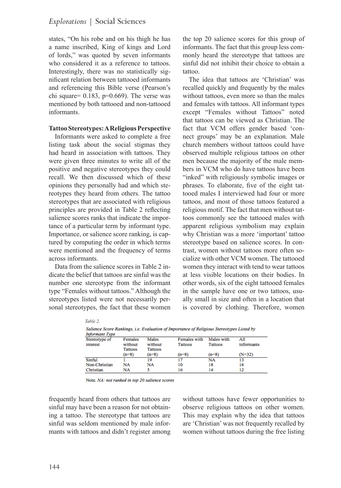states, "On his robe and on his thigh he has a name inscribed, King of kings and Lord of lords," was quoted by seven informants who considered it as a reference to tattoos. Interestingly, there was no statistically significant relation between tattooed informants and referencing this Bible verse (Pearson's chi square=  $0.183$ , p= $0.669$ ). The verse was mentioned by both tattooed and non-tattooed informants.

#### **Tattoo Stereotypes: A Religious Perspective**

Informants were asked to complete a free listing task about the social stigmas they had heard in association with tattoos. They were given three minutes to write all of the positive and negative stereotypes they could recall. We then discussed which of these opinions they personally had and which stereotypes they heard from others. The tattoo stereotypes that are associated with religious principles are provided in Table 2 reflecting salience scores ranks that indicate the importance of a particular term by informant type. Importance, or salience score ranking, is captured by computing the order in which terms were mentioned and the frequency of terms across informants.

Data from the salience scores in Table 2 indicate the belief that tattoos are sinful was the number one stereotype from the informant type "Females without tattoos." Although the stereotypes listed were not necessarily personal stereotypes, the fact that these women

*Table 2.* 

the top 20 salience scores for this group of informants. The fact that this group less commonly heard the stereotype that tattoos are sinful did not inhibit their choice to obtain a tattoo.

The idea that tattoos are 'Christian' was recalled quickly and frequently by the males without tattoos, even more so than the males and females with tattoos. All informant types except "Females without Tattoos" noted that tattoos can be viewed as Christian. The fact that VCM offers gender based 'connect groups' may be an explanation. Male church members without tattoos could have observed multiple religious tattoos on other men because the majority of the male members in VCM who do have tattoos have been "inked" with religiously symbolic images or phrases. To elaborate, five of the eight tattooed males I interviewed had four or more tattoos, and most of those tattoos featured a religious motif. The fact that men without tattoos commonly see the tattooed males with apparent religious symbolism may explain why Christian was a more 'important' tattoo stereotype based on salience scores. In contrast, women without tattoos more often socialize with other VCM women. The tattooed women they interact with tend to wear tattoos at less visible locations on their bodies. In other words, six of the eight tattooed females in the sample have one or two tattoos, usually small in size and often in a location that is covered by clothing. Therefore, women

| <b>Informant Type</b>     |                               |                                    | Salience Score Rankings, i.e. Evaluation of Importance of Religious Stereotypes Listed by |                       |                   |
|---------------------------|-------------------------------|------------------------------------|-------------------------------------------------------------------------------------------|-----------------------|-------------------|
| Stereotype of<br>interest | Females<br>without<br>Tattoos | Males<br>without<br><b>Tattoos</b> | Females with<br>Tattoos                                                                   | Males with<br>Tattoos | All<br>informants |
|                           | $(n=8)$                       | $(n=8)$                            | $(n=8)$                                                                                   | $(n=8)$               | $(N=32)$          |
| Sinful                    |                               | 19                                 | 17                                                                                        | NA                    | 13                |
| Non-Christian             | NA                            | NA                                 | 10                                                                                        | 18                    | 16                |
| Christian                 | NΑ                            |                                    | 16                                                                                        | 14                    |                   |

Note. NA: not ranked in top 20 salience scores

frequently heard from others that tattoos are sinful may have been a reason for not obtaining a tattoo. The stereotype that tattoos are sinful was seldom mentioned by male informants with tattoos and didn't register among without tattoos have fewer opportunities to observe religious tattoos on other women. This may explain why the idea that tattoos are 'Christian' was not frequently recalled by women without tattoos during the free listing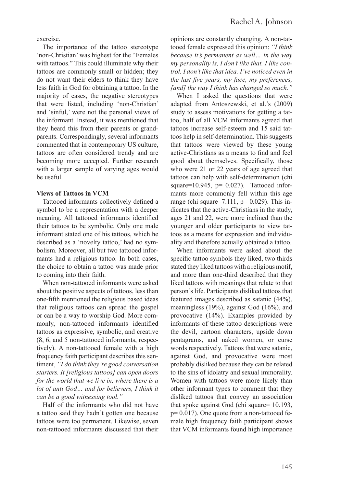exercise.

The importance of the tattoo stereotype 'non-Christian' was highest for the "Females with tattoos." This could illuminate why their tattoos are commonly small or hidden; they do not want their elders to think they have less faith in God for obtaining a tattoo. In the majority of cases, the negative stereotypes that were listed, including 'non-Christian' and 'sinful,' were not the personal views of the informant. Instead, it was mentioned that they heard this from their parents or grandparents. Correspondingly, several informants commented that in contemporary US culture, tattoos are often considered trendy and are becoming more accepted. Further research with a larger sample of varying ages would be useful.

#### **Views of Tattoos in VCM**

Tattooed informants collectively defined a symbol to be a representation with a deeper meaning. All tattooed informants identified their tattoos to be symbolic. Only one male informant stated one of his tattoos, which he described as a 'novelty tattoo,' had no symbolism. Moreover, all but two tattooed informants had a religious tattoo. In both cases, the choice to obtain a tattoo was made prior to coming into their faith.

When non-tattooed informants were asked about the positive aspects of tattoos, less than one-fifth mentioned the religious based ideas that religious tattoos can spread the gospel or can be a way to worship God. More commonly, non-tattooed informants identified tattoos as expressive, symbolic, and creative (8, 6, and 5 non-tattooed informants, respectively). A non-tattooed female with a high frequency faith participant describes this sentiment, *"I do think they're good conversation starters. It [religious tattoos] can open doors for the world that we live in, where there is a lot of anti God… and for believers, I think it can be a good witnessing tool."*

Half of the informants who did not have a tattoo said they hadn't gotten one because tattoos were too permanent. Likewise, seven non-tattooed informants discussed that their opinions are constantly changing. A non-tattooed female expressed this opinion: *"I think because it's permanent as well… in the way my personality is, I don't like that. I like control. I don't like that idea. I've noticed even in the last five years, my face, my preferences, [and] the way I think has changed so much."*

When I asked the questions that were adapted from Antoszewski, et al.'s (2009) study to assess motivations for getting a tattoo, half of all VCM informants agreed that tattoos increase self-esteem and 15 said tattoos help in self-determination. This suggests that tattoos were viewed by these young active-Christians as a means to find and feel good about themselves. Specifically, those who were 21 or 22 years of age agreed that tattoos can help with self-determination (chi square= $10.945$ , p=  $0.027$ ). Tattooed informants more commonly fell within this age range (chi square=7.111,  $p= 0.029$ ). This indicates that the active-Christians in the study, ages 21 and 22, were more inclined than the younger and older participants to view tattoos as a means for expression and individuality and therefore actually obtained a tattoo.

When informants were asked about the specific tattoo symbols they liked, two thirds stated they liked tattoos with a religious motif, and more than one-third described that they liked tattoos with meanings that relate to that person's life. Participants disliked tattoos that featured images described as satanic (44%), meaningless (19%), against God (16%), and provocative (14%). Examples provided by informants of these tattoo descriptions were the devil, cartoon characters, upside down pentagrams, and naked women, or curse words respectively. Tattoos that were satanic, against God, and provocative were most probably disliked because they can be related to the sins of idolatry and sexual immorality. Women with tattoos were more likely than other informant types to comment that they disliked tattoos that convey an association that spoke against God (chi square= 10.193, p= 0.017). One quote from a non-tattooed female high frequency faith participant shows that VCM informants found high importance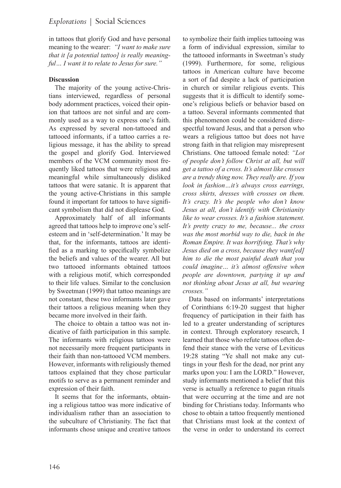in tattoos that glorify God and have personal meaning to the wearer: *"I want to make sure that it [a potential tattoo] is really meaningful… I want it to relate to Jesus for sure."*

# **Discussion**

The majority of the young active-Christians interviewed, regardless of personal body adornment practices, voiced their opinion that tattoos are not sinful and are commonly used as a way to express one's faith. As expressed by several non-tattooed and tattooed informants, if a tattoo carries a religious message, it has the ability to spread the gospel and glorify God. Interviewed members of the VCM community most frequently liked tattoos that were religious and meaningful while simultaneously disliked tattoos that were satanic. It is apparent that the young active-Christians in this sample found it important for tattoos to have significant symbolism that did not displease God.

Approximately half of all informants agreed that tattoos help to improve one's selfesteem and in 'self-determination.' It may be that, for the informants, tattoos are identified as a marking to specifically symbolize the beliefs and values of the wearer. All but two tattooed informants obtained tattoos with a religious motif, which corresponded to their life values. Similar to the conclusion by Sweetman (1999) that tattoo meanings are not constant, these two informants later gave their tattoos a religious meaning when they became more involved in their faith.

The choice to obtain a tattoo was not indicative of faith participation in this sample. The informants with religious tattoos were not necessarily more frequent participants in their faith than non-tattooed VCM members. However, informants with religiously themed tattoos explained that they chose particular motifs to serve as a permanent reminder and expression of their faith.

It seems that for the informants, obtaining a religious tattoo was more indicative of individualism rather than an association to the subculture of Christianity. The fact that informants chose unique and creative tattoos

to symbolize their faith implies tattooing was a form of individual expression, similar to the tattooed informants in Sweetman's study (1999). Furthermore, for some, religious tattoos in American culture have become a sort of fad despite a lack of participation in church or similar religious events. This suggests that it is difficult to identify someone's religious beliefs or behavior based on a tattoo. Several informants commented that this phenomenon could be considered disrespectful toward Jesus, and that a person who wears a religious tattoo but does not have strong faith in that religion may misrepresent Christians. One tattooed female noted: *"Lot of people don't follow Christ at all, but will get a tattoo of a cross. It's almost like crosses are a trendy thing now. They really are. If you look in fashion…it's always cross earrings, cross shirts, dresses with crosses on them. It's crazy. It's the people who don't know Jesus at all, don't identify with Christianity like to wear crosses. It's a fashion statement. It's pretty crazy to me, because... the cross was the most morbid way to die, back in the Roman Empire. It was horrifying. That's why Jesus died on a cross, because they want[ed] him to die the most painful death that you could imagine… it's almost offensive when people are downtown, partying it up and not thinking about Jesus at all, but wearing crosses."*

Data based on informants' interpretations of Corinthians 6:19-20 suggest that higher frequency of participation in their faith has led to a greater understanding of scriptures in context. Through exploratory research, I learned that those who refute tattoos often defend their stance with the verse of Leviticus 19:28 stating "Ye shall not make any cuttings in your flesh for the dead, nor print any marks upon you: I am the LORD." However, study informants mentioned a belief that this verse is actually a reference to pagan rituals that were occurring at the time and are not binding for Christians today. Informants who chose to obtain a tattoo frequently mentioned that Christians must look at the context of the verse in order to understand its correct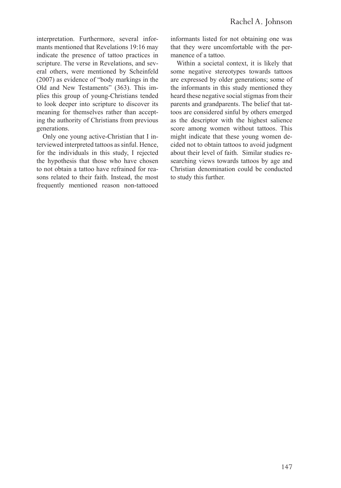interpretation. Furthermore, several informants mentioned that Revelations 19:16 may indicate the presence of tattoo practices in scripture. The verse in Revelations, and several others, were mentioned by Scheinfeld (2007) as evidence of "body markings in the Old and New Testaments" (363). This implies this group of young-Christians tended to look deeper into scripture to discover its meaning for themselves rather than accepting the authority of Christians from previous generations.

Only one young active-Christian that I interviewed interpreted tattoos as sinful. Hence, for the individuals in this study, I rejected the hypothesis that those who have chosen to not obtain a tattoo have refrained for reasons related to their faith. Instead, the most frequently mentioned reason non-tattooed informants listed for not obtaining one was that they were uncomfortable with the permanence of a tattoo.

Within a societal context, it is likely that some negative stereotypes towards tattoos are expressed by older generations; some of the informants in this study mentioned they heard these negative social stigmas from their parents and grandparents. The belief that tattoos are considered sinful by others emerged as the descriptor with the highest salience score among women without tattoos. This might indicate that these young women decided not to obtain tattoos to avoid judgment about their level of faith. Similar studies researching views towards tattoos by age and Christian denomination could be conducted to study this further.